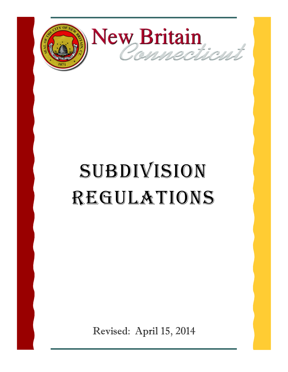

# SUBDIVISION Regulations

Revised: April 15, 2014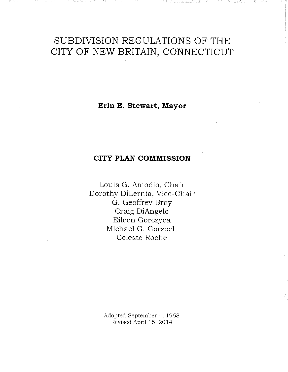# SUBDIVISION REGULATIONS OF THE CITY OF NEW BRITAIN, CONNECTICUT

Erin E. Stewart, Mayor

# **CITY PLAN COMMISSION**

Louis G. Amodio, Chair Dorothy DiLernia, Vice-Chair G. Geoffrey Bray Craig DiAngelo Eileen Gorczyca Michael G. Gorzoch Celeste Roche

> Adopted September 4, 1968 Revised April 15, 2014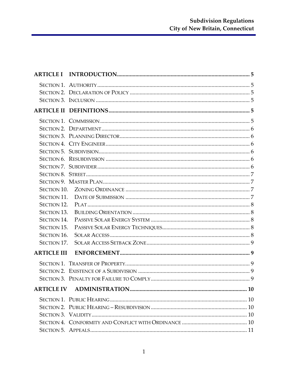| <b>SECTION 11.</b> |  |
|--------------------|--|
| <b>SECTION 12.</b> |  |
| <b>SECTION 13.</b> |  |
| <b>SECTION 14.</b> |  |
| <b>SECTION 15.</b> |  |
| <b>SECTION 16.</b> |  |
| SECTION 17.        |  |
| <b>ARTICLE III</b> |  |
|                    |  |
|                    |  |
|                    |  |
|                    |  |
|                    |  |
|                    |  |
|                    |  |
|                    |  |
|                    |  |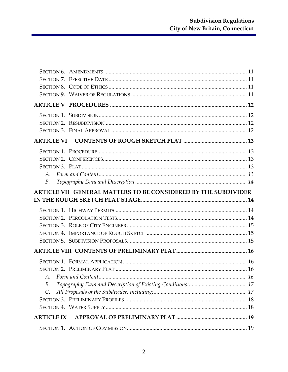| $A_{\cdot}$       |                                                                |
|-------------------|----------------------------------------------------------------|
| В.                |                                                                |
|                   | ARTICLE VII GENERAL MATTERS TO BE CONSIDERED BY THE SUBDIVIDER |
|                   |                                                                |
|                   |                                                                |
|                   |                                                                |
|                   |                                                                |
|                   |                                                                |
|                   |                                                                |
|                   |                                                                |
|                   |                                                                |
|                   |                                                                |
|                   |                                                                |
|                   |                                                                |
| В.                |                                                                |
| $\mathcal{C}.$    |                                                                |
|                   |                                                                |
|                   |                                                                |
| <b>ARTICLE IX</b> |                                                                |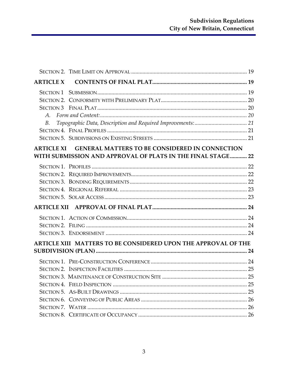| <b>ARTICLE X</b>                                               |                                                             |  |  |  |
|----------------------------------------------------------------|-------------------------------------------------------------|--|--|--|
| SECTION 1                                                      |                                                             |  |  |  |
|                                                                |                                                             |  |  |  |
|                                                                |                                                             |  |  |  |
| A.                                                             |                                                             |  |  |  |
| B.                                                             |                                                             |  |  |  |
|                                                                |                                                             |  |  |  |
|                                                                |                                                             |  |  |  |
|                                                                | ARTICLE XI GENERAL MATTERS TO BE CONSIDERED IN CONNECTION   |  |  |  |
|                                                                | WITH SUBMISSION AND APPROVAL OF PLATS IN THE FINAL STAGE 22 |  |  |  |
|                                                                |                                                             |  |  |  |
|                                                                |                                                             |  |  |  |
|                                                                |                                                             |  |  |  |
|                                                                |                                                             |  |  |  |
|                                                                |                                                             |  |  |  |
|                                                                |                                                             |  |  |  |
|                                                                |                                                             |  |  |  |
|                                                                |                                                             |  |  |  |
|                                                                |                                                             |  |  |  |
| ARTICLE XIII MATTERS TO BE CONSIDERED UPON THE APPROVAL OF THE |                                                             |  |  |  |
|                                                                |                                                             |  |  |  |
|                                                                |                                                             |  |  |  |
|                                                                |                                                             |  |  |  |
|                                                                |                                                             |  |  |  |
|                                                                |                                                             |  |  |  |
|                                                                |                                                             |  |  |  |
|                                                                |                                                             |  |  |  |
|                                                                |                                                             |  |  |  |
|                                                                |                                                             |  |  |  |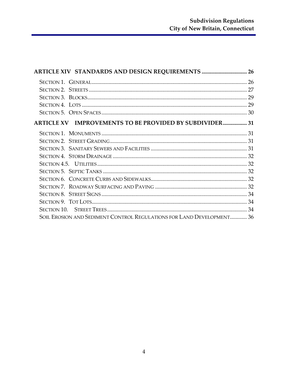| ARTICLE XIV STANDARDS AND DESIGN REQUIREMENTS  26                     |  |
|-----------------------------------------------------------------------|--|
|                                                                       |  |
|                                                                       |  |
|                                                                       |  |
|                                                                       |  |
|                                                                       |  |
| ARTICLE XV IMPROVEMENTS TO BE PROVIDED BY SUBDIVIDER 31               |  |
|                                                                       |  |
|                                                                       |  |
|                                                                       |  |
|                                                                       |  |
|                                                                       |  |
|                                                                       |  |
|                                                                       |  |
|                                                                       |  |
|                                                                       |  |
|                                                                       |  |
|                                                                       |  |
| SOIL EROSION AND SEDIMENT CONTROL REGULATIONS FOR LAND DEVELOPMENT 36 |  |
|                                                                       |  |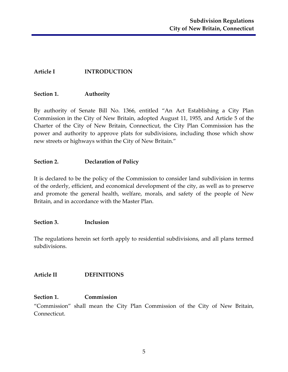#### <span id="page-6-0"></span>**Article I INTRODUCTION**

#### <span id="page-6-1"></span>**Section 1. Authority**

By authority of Senate Bill No. 1366, entitled "An Act Establishing a City Plan Commission in the City of New Britain, adopted August 11, 1955, and Article 5 of the Charter of the City of New Britain, Connecticut, the City Plan Commission has the power and authority to approve plats for subdivisions, including those which show new streets or highways within the City of New Britain."

#### <span id="page-6-2"></span>**Section 2. Declaration of Policy**

It is declared to be the policy of the Commission to consider land subdivision in terms of the orderly, efficient, and economical development of the city, as well as to preserve and promote the general health, welfare, morals, and safety of the people of New Britain, and in accordance with the Master Plan.

#### <span id="page-6-3"></span>**Section 3. Inclusion**

The regulations herein set forth apply to residential subdivisions, and all plans termed subdivisions.

#### <span id="page-6-4"></span>**Article II DEFINITIONS**

#### <span id="page-6-5"></span>**Section 1. Commission**

"Commission" shall mean the City Plan Commission of the City of New Britain, Connecticut.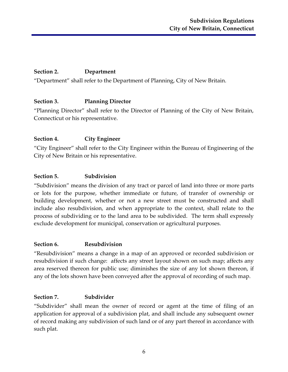# <span id="page-7-0"></span>**Section 2. Department**

"Department" shall refer to the Department of Planning, City of New Britain.

#### <span id="page-7-1"></span>**Section 3. Planning Director**

"Planning Director" shall refer to the Director of Planning of the City of New Britain, Connecticut or his representative.

#### <span id="page-7-2"></span>**Section 4. City Engineer**

"City Engineer" shall refer to the City Engineer within the Bureau of Engineering of the City of New Britain or his representative.

#### <span id="page-7-3"></span>**Section 5. Subdivision**

"Subdivision" means the division of any tract or parcel of land into three or more parts or lots for the purpose, whether immediate or future, of transfer of ownership or building development, whether or not a new street must be constructed and shall include also resubdivision, and when appropriate to the context, shall relate to the process of subdividing or to the land area to be subdivided. The term shall expressly exclude development for municipal, conservation or agricultural purposes.

#### <span id="page-7-4"></span>**Section 6. Resubdivision**

"Resubdivision" means a change in a map of an approved or recorded subdivision or resubdivision if such change: affects any street layout shown on such map; affects any area reserved thereon for public use; diminishes the size of any lot shown thereon, if any of the lots shown have been conveyed after the approval of recording of such map.

#### <span id="page-7-5"></span>**Section 7. Subdivider**

"Subdivider" shall mean the owner of record or agent at the time of filing of an application for approval of a subdivision plat, and shall include any subsequent owner of record making any subdivision of such land or of any part thereof in accordance with such plat.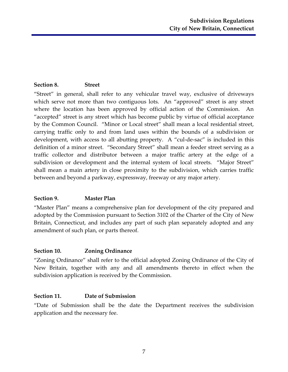# <span id="page-8-0"></span>**Section 8. Street**

"Street" in general, shall refer to any vehicular travel way, exclusive of driveways which serve not more than two contiguous lots. An "approved" street is any street where the location has been approved by official action of the Commission. An "accepted" street is any street which has become public by virtue of official acceptance by the Common Council. "Minor or Local street" shall mean a local residential street, carrying traffic only to and from land uses within the bounds of a subdivision or development, with access to all abutting property. A "cul-de-sac" is included in this definition of a minor street. "Secondary Street" shall mean a feeder street serving as a traffic collector and distributor between a major traffic artery at the edge of a subdivision or development and the internal system of local streets. "Major Street" shall mean a main artery in close proximity to the subdivision, which carries traffic between and beyond a parkway, expressway, freeway or any major artery.

# <span id="page-8-1"></span>**Section 9. Master Plan**

"Master Plan" means a comprehensive plan for development of the city prepared and adopted by the Commission pursuant to Section 3102 of the Charter of the City of New Britain, Connecticut, and includes any part of such plan separately adopted and any amendment of such plan, or parts thereof.

#### <span id="page-8-2"></span>**Section 10. Zoning Ordinance**

"Zoning Ordinance" shall refer to the official adopted Zoning Ordinance of the City of New Britain, together with any and all amendments thereto in effect when the subdivision application is received by the Commission.

#### <span id="page-8-3"></span>**Section 11. Date of Submission**

"Date of Submission shall be the date the Department receives the subdivision application and the necessary fee.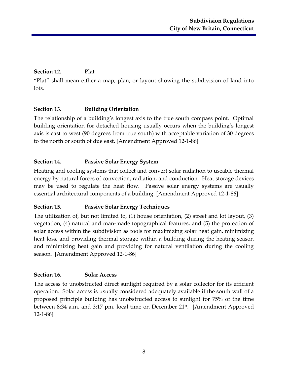# <span id="page-9-0"></span>**Section 12. Plat**

"Plat" shall mean either a map, plan, or layout showing the subdivision of land into lots.

# <span id="page-9-1"></span>**Section 13. Building Orientation**

The relationship of a building's longest axis to the true south compass point. Optimal building orientation for detached housing usually occurs when the building's longest axis is east to west (90 degrees from true south) with acceptable variation of 30 degrees to the north or south of due east. [Amendment Approved 12-1-86]

# <span id="page-9-2"></span>**Section 14. Passive Solar Energy System**

Heating and cooling systems that collect and convert solar radiation to useable thermal energy by natural forces of convection, radiation, and conduction. Heat storage devices may be used to regulate the heat flow. Passive solar energy systems are usually essential architectural components of a building. [Amendment Approved 12-1-86]

# <span id="page-9-3"></span>**Section 15. Passive Solar Energy Techniques**

The utilization of, but not limited to, (1) house orientation, (2) street and lot layout, (3) vegetation, (4) natural and man-made topographical features, and (5) the protection of solar access within the subdivision as tools for maximizing solar heat gain, minimizing heat loss, and providing thermal storage within a building during the heating season and minimizing heat gain and providing for natural ventilation during the cooling season. [Amendment Approved 12-1-86]

# <span id="page-9-4"></span>**Section 16. Solar Access**

The access to unobstructed direct sunlight required by a solar collector for its efficient operation. Solar access is usually considered adequately available if the south wall of a proposed principle building has unobstructed access to sunlight for 75% of the time between 8:34 a.m. and 3:17 pm. local time on December 21<sup>st</sup>. [Amendment Approved 12-1-86]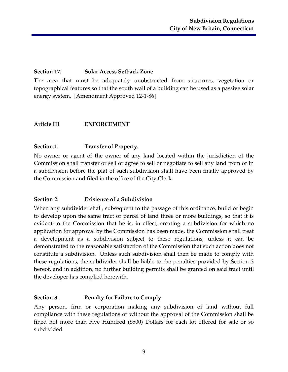# <span id="page-10-0"></span>**Section 17. Solar Access Setback Zone**

The area that must be adequately unobstructed from structures, vegetation or topographical features so that the south wall of a building can be used as a passive solar energy system. [Amendment Approved 12-1-86]

#### <span id="page-10-1"></span>**Article III ENFORCEMENT**

#### <span id="page-10-2"></span>**Section 1. Transfer of Property.**

No owner or agent of the owner of any land located within the jurisdiction of the Commission shall transfer or sell or agree to sell or negotiate to sell any land from or in a subdivision before the plat of such subdivision shall have been finally approved by the Commission and filed in the office of the City Clerk.

#### <span id="page-10-3"></span>**Section 2. Existence of a Subdivision**

When any subdivider shall, subsequent to the passage of this ordinance, build or begin to develop upon the same tract or parcel of land three or more buildings, so that it is evident to the Commission that he is, in effect, creating a subdivision for which no application for approval by the Commission has been made, the Commission shall treat a development as a subdivision subject to these regulations, unless it can be demonstrated to the reasonable satisfaction of the Commission that such action does not constitute a subdivision. Unless such subdivision shall then be made to comply with these regulations, the subdivider shall be liable to the penalties provided by Section 3 hereof, and in addition, no further building permits shall be granted on said tract until the developer has complied herewith.

#### <span id="page-10-4"></span>**Section 3. Penalty for Failure to Comply**

Any person, firm or corporation making any subdivision of land without full compliance with these regulations or without the approval of the Commission shall be fined not more than Five Hundred (\$500) Dollars for each lot offered for sale or so subdivided.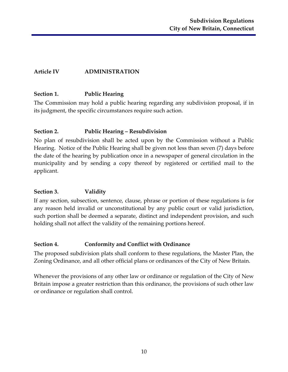# <span id="page-11-0"></span>**Article IV ADMINISTRATION**

#### <span id="page-11-1"></span>**Section 1. Public Hearing**

The Commission may hold a public hearing regarding any subdivision proposal, if in its judgment, the specific circumstances require such action.

#### <span id="page-11-2"></span>**Section 2. Public Hearing – Resubdivision**

No plan of resubdivision shall be acted upon by the Commission without a Public Hearing. Notice of the Public Hearing shall be given not less than seven (7) days before the date of the hearing by publication once in a newspaper of general circulation in the municipality and by sending a copy thereof by registered or certified mail to the applicant.

# <span id="page-11-3"></span>**Section 3. Validity**

If any section, subsection, sentence, clause, phrase or portion of these regulations is for any reason held invalid or unconstitutional by any public court or valid jurisdiction, such portion shall be deemed a separate, distinct and independent provision, and such holding shall not affect the validity of the remaining portions hereof.

#### <span id="page-11-4"></span>**Section 4. Conformity and Conflict with Ordinance**

The proposed subdivision plats shall conform to these regulations, the Master Plan, the Zoning Ordinance, and all other official plans or ordinances of the City of New Britain.

Whenever the provisions of any other law or ordinance or regulation of the City of New Britain impose a greater restriction than this ordinance, the provisions of such other law or ordinance or regulation shall control.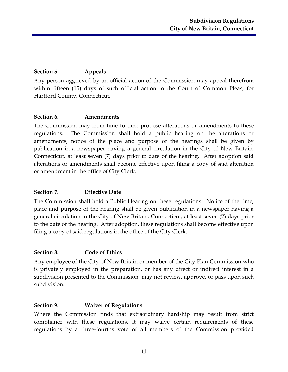# <span id="page-12-0"></span>**Section 5. Appeals**

Any person aggrieved by an official action of the Commission may appeal therefrom within fifteen (15) days of such official action to the Court of Common Pleas, for Hartford County, Connecticut.

#### <span id="page-12-1"></span>**Section 6. Amendments**

The Commission may from time to time propose alterations or amendments to these regulations. The Commission shall hold a public hearing on the alterations or amendments, notice of the place and purpose of the hearings shall be given by publication in a newspaper having a general circulation in the City of New Britain, Connecticut, at least seven (7) days prior to date of the hearing. After adoption said alterations or amendments shall become effective upon filing a copy of said alteration or amendment in the office of City Clerk.

# <span id="page-12-2"></span>**Section 7. Effective Date**

The Commission shall hold a Public Hearing on these regulations. Notice of the time, place and purpose of the hearing shall be given publication in a newspaper having a general circulation in the City of New Britain, Connecticut, at least seven (7) days prior to the date of the hearing. After adoption, these regulations shall become effective upon filing a copy of said regulations in the office of the City Clerk.

# <span id="page-12-3"></span>**Section 8. Code of Ethics**

Any employee of the City of New Britain or member of the City Plan Commission who is privately employed in the preparation, or has any direct or indirect interest in a subdivision presented to the Commission, may not review, approve, or pass upon such subdivision.

# <span id="page-12-4"></span>**Section 9. Waiver of Regulations**

Where the Commission finds that extraordinary hardship may result from strict compliance with these regulations, it may waive certain requirements of these regulations by a three-fourths vote of all members of the Commission provided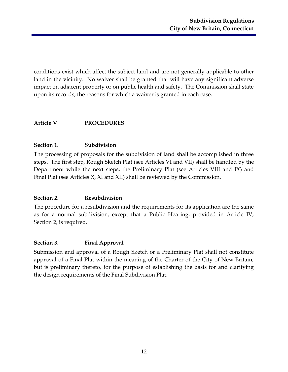conditions exist which affect the subject land and are not generally applicable to other land in the vicinity. No waiver shall be granted that will have any significant adverse impact on adjacent property or on public health and safety. The Commission shall state upon its records, the reasons for which a waiver is granted in each case.

#### <span id="page-13-0"></span>**Article V PROCEDURES**

#### <span id="page-13-1"></span>**Section 1. Subdivision**

The processing of proposals for the subdivision of land shall be accomplished in three steps. The first step, Rough Sketch Plat (see Articles VI and VII) shall be handled by the Department while the next steps, the Preliminary Plat (see Articles VIII and IX) and Final Plat (see Articles X, XI and XII) shall be reviewed by the Commission.

# <span id="page-13-2"></span>**Section 2. Resubdivision**

The procedure for a resubdivision and the requirements for its application are the same as for a normal subdivision, except that a Public Hearing, provided in Article IV, Section 2, is required.

#### <span id="page-13-3"></span>**Section 3. Final Approval**

Submission and approval of a Rough Sketch or a Preliminary Plat shall not constitute approval of a Final Plat within the meaning of the Charter of the City of New Britain, but is preliminary thereto, for the purpose of establishing the basis for and clarifying the design requirements of the Final Subdivision Plat.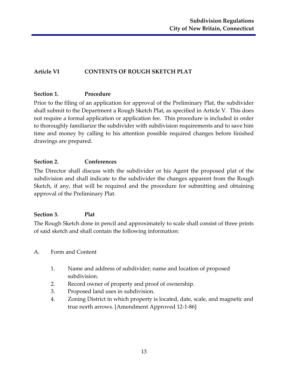# <span id="page-14-0"></span>**Article VI CONTENTS OF ROUGH SKETCH PLAT**

#### <span id="page-14-1"></span>**Section 1. Procedure**

Prior to the filing of an application for approval of the Preliminary Plat, the subdivider shall submit to the Department a Rough Sketch Plat, as specified in Article V. This does not require a formal application or application fee. This procedure is included in order to thoroughly familiarize the subdivider with subdivision requirements and to save him time and money by calling to his attention possible required changes before finished drawings are prepared.

# <span id="page-14-2"></span>**Section 2. Conferences**

The Director shall discuss with the subdivider or his Agent the proposed plat of the subdivision and shall indicate to the subdivider the changes apparent from the Rough Sketch, if any, that will be required and the procedure for submitting and obtaining approval of the Preliminary Plat.

# <span id="page-14-3"></span>**Section 3. Plat**

The Rough Sketch done in pencil and approximately to scale shall consist of three prints of said sketch and shall contain the following information:

- <span id="page-14-4"></span>A. Form and Content
	- 1. Name and address of subdivider; name and location of proposed subdivision.
	- 2. Record owner of property and proof of ownership.
	- 3. Proposed land uses in subdivision.
	- 4. Zoning District in which property is located, date, scale, and magnetic and true north arrows. [Amendment Approved 12-1-86]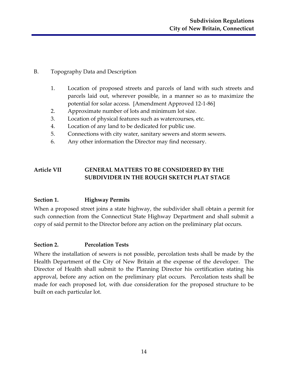- <span id="page-15-0"></span>B. Topography Data and Description
	- 1. Location of proposed streets and parcels of land with such streets and parcels laid out, wherever possible, in a manner so as to maximize the potential for solar access. [Amendment Approved 12-1-86]
	- 2. Approximate number of lots and minimum lot size.
	- 3. Location of physical features such as watercourses, etc.
	- 4. Location of any land to be dedicated for public use.
	- 5. Connections with city water, sanitary sewers and storm sewers.
	- 6. Any other information the Director may find necessary.

# <span id="page-15-1"></span>**Article VII GENERAL MATTERS TO BE CONSIDERED BY THE SUBDIVIDER IN THE ROUGH SKETCH PLAT STAGE**

# <span id="page-15-2"></span>**Section 1. Highway Permits**

When a proposed street joins a state highway, the subdivider shall obtain a permit for such connection from the Connecticut State Highway Department and shall submit a copy of said permit to the Director before any action on the preliminary plat occurs.

#### <span id="page-15-3"></span>**Section 2. Percolation Tests**

Where the installation of sewers is not possible, percolation tests shall be made by the Health Department of the City of New Britain at the expense of the developer. The Director of Health shall submit to the Planning Director his certification stating his approval, before any action on the preliminary plat occurs. Percolation tests shall be made for each proposed lot, with due consideration for the proposed structure to be built on each particular lot.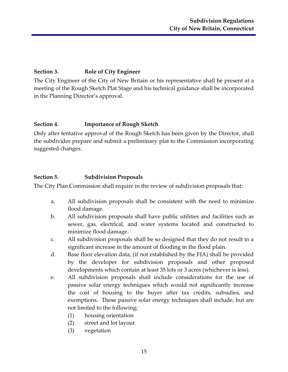# <span id="page-16-0"></span>**Section 3. Role of City Engineer**

The City Engineer of the City of New Britain or his representative shall be present at a meeting of the Rough Sketch Plat Stage and his technical guidance shall be incorporated in the Planning Director's approval.

#### <span id="page-16-1"></span>**Section 4. Importance of Rough Sketch**

Only after tentative approval of the Rough Sketch has been given by the Director, shall the subdivider prepare and submit a preliminary plat to the Commission incorporating suggested changes.

# <span id="page-16-2"></span>**Section 5. Subdivision Proposals**

The City Plan Commission shall require in the review of subdivision proposals that:

- a. All subdivision proposals shall be consistent with the need to minimize flood damage.
- b. All subdivision proposals shall have public utilities and facilities such as sewer, gas, electrical, and water systems located and constructed to minimize flood damage.
- c. All subdivision proposals shall be so designed that they do not result in a significant increase in the amount of flooding in the flood plain.
- d. Base floor elevation data, (if not established by the FIA) shall be provided by the developer for subdivision proposals and other proposed developments which contain at least 35 lots or 3 acres (whichever is less).
- e. All subdivision proposals shall include considerations for the use of passive solar energy techniques which would not significantly increase the cost of housing to the buyer after tax credits, subsidies, and exemptions. These passive solar energy techniques shall include, but are not limited to the following;
	- (1) housing orientation
	- (2) street and lot layout
	- (3) vegetation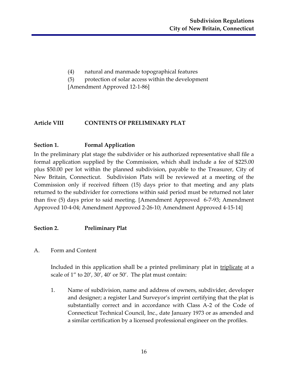- (4) natural and manmade topographical features
- (5) protection of solar access within the development

[Amendment Approved 12-1-86]

# <span id="page-17-0"></span>**Article VIII CONTENTS OF PRELIMINARY PLAT**

# <span id="page-17-1"></span>**Section 1. Formal Application**

In the preliminary plat stage the subdivider or his authorized representative shall file a formal application supplied by the Commission, which shall include a fee of \$225.00 plus \$50.00 per lot within the planned subdivision, payable to the Treasurer, City of New Britain, Connecticut. Subdivision Plats will be reviewed at a meeting of the Commission only if received fifteen (15) days prior to that meeting and any plats returned to the subdivider for corrections within said period must be returned not later than five (5) days prior to said meeting. [Amendment Approved 6-7-93; Amendment Approved 10-4-04; Amendment Approved 2-26-10; Amendment Approved 4-15-14]

# <span id="page-17-2"></span>**Section 2. Preliminary Plat**

<span id="page-17-3"></span>A. Form and Content

Included in this application shall be a printed preliminary plat in triplicate at a scale of 1" to 20', 30', 40' or 50'. The plat must contain:

1. Name of subdivision, name and address of owners, subdivider, developer and designer; a register Land Surveyor's imprint certifying that the plat is substantially correct and in accordance with Class A-2 of the Code of Connecticut Technical Council, Inc., date January 1973 or as amended and a similar certification by a licensed professional engineer on the profiles.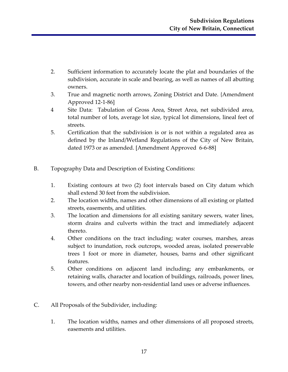- 2. Sufficient information to accurately locate the plat and boundaries of the subdivision, accurate in scale and bearing, as well as names of all abutting owners.
- 3. True and magnetic north arrows, Zoning District and Date. {Amendment Approved 12-1-86]
- 4 Site Data: Tabulation of Gross Area, Street Area, net subdivided area, total number of lots, average lot size, typical lot dimensions, lineal feet of streets.
- 5. Certification that the subdivision is or is not within a regulated area as defined by the Inland/Wetland Regulations of the City of New Britain, dated 1973 or as amended. [Amendment Approved 6-6-88]
- <span id="page-18-0"></span>B. Topography Data and Description of Existing Conditions:
	- 1. Existing contours at two (2) foot intervals based on City datum which shall extend 30 feet from the subdivision.
	- 2. The location widths, names and other dimensions of all existing or platted streets, easements, and utilities.
	- 3. The location and dimensions for all existing sanitary sewers, water lines, storm drains and culverts within the tract and immediately adjacent thereto.
	- 4. Other conditions on the tract including; water courses, marshes, areas subject to inundation, rock outcrops, wooded areas, isolated preservable trees 1 foot or more in diameter, houses, barns and other significant features.
	- 5. Other conditions on adjacent land including; any embankments, or retaining walls, character and location of buildings, railroads, power lines, towers, and other nearby non-residential land uses or adverse influences.
- <span id="page-18-1"></span>C. All Proposals of the Subdivider, including:
	- 1. The location widths, names and other dimensions of all proposed streets, easements and utilities.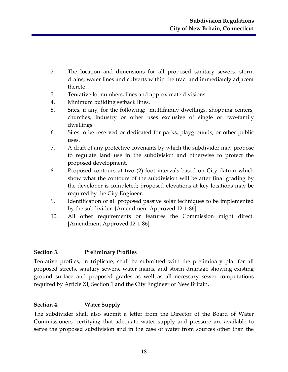- 2. The location and dimensions for all proposed sanitary sewers, storm drains, water lines and culverts within the tract and immediately adjacent thereto.
- 3. Tentative lot numbers, lines and approximate divisions.
- 4. Minimum building setback lines.
- 5. Sites, if any, for the following: multifamily dwellings, shopping centers, churches, industry or other uses exclusive of single or two-family dwellings.
- 6. Sites to be reserved or dedicated for parks, playgrounds, or other public uses.
- 7. A draft of any protective covenants by which the subdivider may propose to regulate land use in the subdivision and otherwise to protect the proposed development.
- 8. Proposed contours at two (2) foot intervals based on City datum which show what the contours of the subdivision will be after final grading by the developer is completed; proposed elevations at key locations may be required by the City Engineer.
- 9. Identification of all proposed passive solar techniques to be implemented by the subdivider. {Amendment Approved 12-1-86]
- 10. All other requirements or features the Commission might direct. [Amendment Approved 12-1-86]

#### <span id="page-19-0"></span>**Section 3. Preliminary Profiles**

Tentative profiles, in triplicate, shall be submitted with the preliminary plat for all proposed streets, sanitary sewers, water mains, and storm drainage showing existing ground surface and proposed grades as well as all necessary sewer computations required by Article XI, Section 1 and the City Engineer of New Britain.

#### <span id="page-19-1"></span>**Section 4. Water Supply**

The subdivider shall also submit a letter from the Director of the Board of Water Commissioners, certifying that adequate water supply and pressure are available to serve the proposed subdivision and in the case of water from sources other than the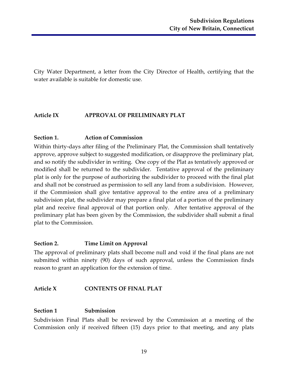City Water Department, a letter from the City Director of Health, certifying that the water available is suitable for domestic use.

#### <span id="page-20-0"></span>**Article IX APPROVAL OF PRELIMINARY PLAT**

#### <span id="page-20-1"></span>**Section 1. Action of Commission**

Within thirty-days after filing of the Preliminary Plat, the Commission shall tentatively approve, approve subject to suggested modification, or disapprove the preliminary plat, and so notify the subdivider in writing. One copy of the Plat as tentatively approved or modified shall be returned to the subdivider. Tentative approval of the preliminary plat is only for the purpose of authorizing the subdivider to proceed with the final plat and shall not be construed as permission to sell any land from a subdivision. However, if the Commission shall give tentative approval to the entire area of a preliminary subdivision plat, the subdivider may prepare a final plat of a portion of the preliminary plat and receive final approval of that portion only. After tentative approval of the preliminary plat has been given by the Commission, the subdivider shall submit a final plat to the Commission.

#### <span id="page-20-2"></span>**Section 2. Time Limit on Approval**

The approval of preliminary plats shall become null and void if the final plans are not submitted within ninety (90) days of such approval, unless the Commission finds reason to grant an application for the extension of time.

#### <span id="page-20-3"></span>**Article X CONTENTS OF FINAL PLAT**

#### <span id="page-20-4"></span>**Section 1 Submission**

Subdivision Final Plats shall be reviewed by the Commission at a meeting of the Commission only if received fifteen (15) days prior to that meeting, and any plats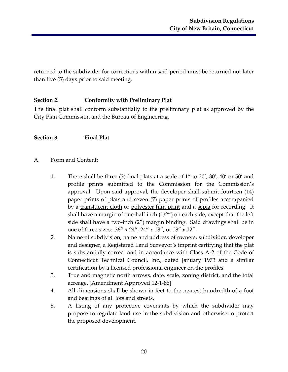returned to the subdivider for corrections within said period must be returned not later than five (5) days prior to said meeting.

#### <span id="page-21-0"></span>**Section 2. Conformity with Preliminary Plat**

The final plat shall conform substantially to the preliminary plat as approved by the City Plan Commission and the Bureau of Engineering.

#### <span id="page-21-1"></span>**Section 3 Final Plat**

- <span id="page-21-2"></span>A. Form and Content:
	- 1. There shall be three (3) final plats at a scale of 1" to 20', 30', 40' or 50' and profile prints submitted to the Commission for the Commission's approval. Upon said approval, the developer shall submit fourteen (14) paper prints of plats and seven (7) paper prints of profiles accompanied by a translucent cloth or polyester film print and a sepia for recording. It shall have a margin of one-half inch (1/2") on each side, except that the left side shall have a two-inch (2") margin binding. Said drawings shall be in one of three sizes: 36" x 24", 24" x 18", or 18" x 12".
	- 2. Name of subdivision, name and address of owners, subdivider, developer and designer, a Registered Land Surveyor's imprint certifying that the plat is substantially correct and in accordance with Class A-2 of the Code of Connecticut Technical Council, Inc., dated January 1973 and a similar certification by a licensed professional engineer on the profiles.
	- 3. True and magnetic north arrows, date, scale, zoning district, and the total acreage. [Amendment Approved 12-1-86]
	- 4. All dimensions shall be shown in feet to the nearest hundredth of a foot and bearings of all lots and streets.
	- 5. A listing of any protective covenants by which the subdivider may propose to regulate land use in the subdivision and otherwise to protect the proposed development.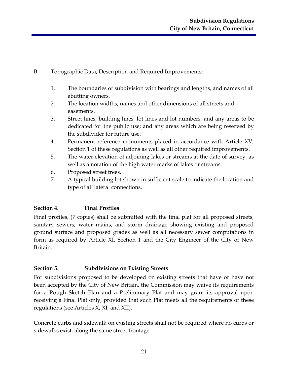- <span id="page-22-0"></span>B. Topographic Data, Description and Required Improvements:
	- 1. The boundaries of subdivision with bearings and lengths, and names of all abutting owners.
	- 2. The location widths, names and other dimensions of all streets and easements.
	- 3. Street lines, building lines, lot lines and lot numbers, and any areas to be dedicated for the public use; and any areas which are being reserved by the subdivider for future use.
	- 4. Permanent reference monuments placed in accordance with Article XV, Section 1 of these regulations as well as all other required improvements.
	- 5. The water elevation of adjoining lakes or streams at the date of survey, as well as a notation of the high water marks of lakes or streams.
	- 6. Proposed street trees.
	- 7. A typical building lot shown in sufficient scale to indicate the location and type of all lateral connections.

# <span id="page-22-1"></span>**Section 4. Final Profiles**

Final profiles, (7 copies) shall be submitted with the final plat for all proposed streets, sanitary sewers, water mains, and storm drainage showing existing and proposed ground surface and proposed grades as well as all necessary sewer computations in form as required by Article XI, Section 1 and the City Engineer of the City of New Britain.

# <span id="page-22-2"></span>**Section 5. Subdivisions on Existing Streets**

For subdivisions proposed to be developed on existing streets that have or have not been accepted by the City of New Britain, the Commission may waive its requirements for a Rough Sketch Plan and a Preliminary Plat and may grant its approval upon receiving a Final Plat only, provided that such Plat meets all the requirements of these regulations (see Articles X, XI, and XII).

Concrete curbs and sidewalk on existing streets shall not be required where no curbs or sidewalks exist, along the same street frontage.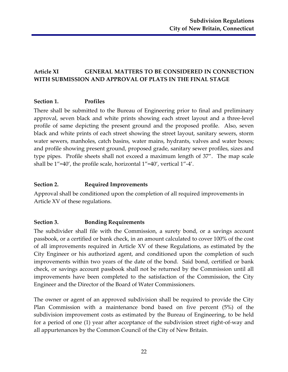# <span id="page-23-0"></span>**Article XI GENERAL MATTERS TO BE CONSIDERED IN CONNECTION WITH SUBMISSION AND APPROVAL OF PLATS IN THE FINAL STAGE**

#### <span id="page-23-1"></span>**Section 1. Profiles**

There shall be submitted to the Bureau of Engineering prior to final and preliminary approval, seven black and white prints showing each street layout and a three-level profile of same depicting the present ground and the proposed profile. Also, seven black and white prints of each street showing the street layout, sanitary sewers, storm water sewers, manholes, catch basins, water mains, hydrants, valves and water boxes; and profile showing present ground, proposed grade, sanitary sewer profiles, sizes and type pipes. Profile sheets shall not exceed a maximum length of 37". The map scale shall be 1"=40', the profile scale, horizontal 1"=40', vertical 1"-4'.

#### <span id="page-23-2"></span>**Section 2. Required Improvements**

Approval shall be conditioned upon the completion of all required improvements in Article XV of these regulations.

#### <span id="page-23-3"></span>**Section 3. Bonding Requirements**

The subdivider shall file with the Commission, a surety bond, or a savings account passbook, or a certified or bank check, in an amount calculated to cover 100% of the cost of all improvements required in Article XV of these Regulations, as estimated by the City Engineer or his authorized agent, and conditioned upon the completion of such improvements within two years of the date of the bond. Said bond, certified or bank check, or savings account passbook shall not be returned by the Commission until all improvements have been completed to the satisfaction of the Commission, the City Engineer and the Director of the Board of Water Commissioners.

The owner or agent of an approved subdivision shall be required to provide the City Plan Commission with a maintenance bond based on five percent (5%) of the subdivision improvement costs as estimated by the Bureau of Engineering, to be held for a period of one (1) year after acceptance of the subdivision street right-of-way and all appurtenances by the Common Council of the City of New Britain.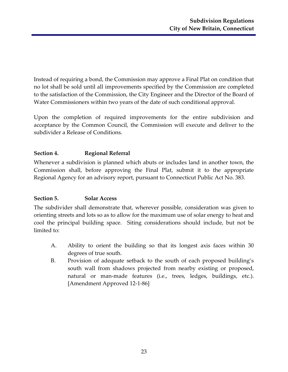Instead of requiring a bond, the Commission may approve a Final Plat on condition that no lot shall be sold until all improvements specified by the Commission are completed to the satisfaction of the Commission, the City Engineer and the Director of the Board of Water Commissioners within two years of the date of such conditional approval.

Upon the completion of required improvements for the entire subdivision and acceptance by the Common Council, the Commission will execute and deliver to the subdivider a Release of Conditions.

# <span id="page-24-0"></span>**Section 4. Regional Referral**

Whenever a subdivision is planned which abuts or includes land in another town, the Commission shall, before approving the Final Plat, submit it to the appropriate Regional Agency for an advisory report, pursuant to Connecticut Public Act No. 383.

# <span id="page-24-1"></span>**Section 5. Solar Access**

The subdivider shall demonstrate that, wherever possible, consideration was given to orienting streets and lots so as to allow for the maximum use of solar energy to heat and cool the principal building space. Siting considerations should include, but not be limited to:

- A. Ability to orient the building so that its longest axis faces within 30 degrees of true south.
- B. Provision of adequate setback to the south of each proposed building's south wall from shadows projected from nearby existing or proposed, natural or man-made features (i.e., trees, ledges, buildings, etc.). [Amendment Approved 12-1-86]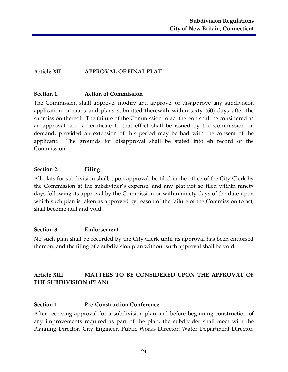# <span id="page-25-0"></span>**Article XII APPROVAL OF FINAL PLAT**

#### <span id="page-25-1"></span>**Section 1. Action of Commission**

The Commission shall approve, modify and approve, or disapprove any subdivision application or maps and plans submitted therewith within sixty (60) days after the submission thereof. The failure of the Commission to act thereon shall be considered as an approval, and a certificate to that effect shall be issued by the Commission on demand, provided an extension of this period may be had with the consent of the applicant. The grounds for disapproval shall be stated into eh record of the Commission.

#### <span id="page-25-2"></span>**Section 2. Filing**

All plats for subdivision shall, upon approval, be filed in the office of the City Clerk by the Commission at the subdivider's expense, and any plat not so filed within ninety days following its approval by the Commission or within ninety days of the date upon which such plan is taken as approved by reason of the failure of the Commission to act, shall become null and void.

#### <span id="page-25-3"></span>**Section 3. Endorsement**

No such plan shall be recorded by the City Clerk until its approval has been endorsed thereon, and the filing of a subdivision plan without such approval shall be void.

# <span id="page-25-4"></span>**Article XIII MATTERS TO BE CONSIDERED UPON THE APPROVAL OF THE SUBDIVISION (PLAN)**

#### <span id="page-25-5"></span>**Section 1. Pre-Construction Conference**

After receiving approval for a subdivision plan and before beginning construction of any improvements required as part of the plan, the subdivider shall meet with the Planning Director, City Engineer, Public Works Director, Water Department Director,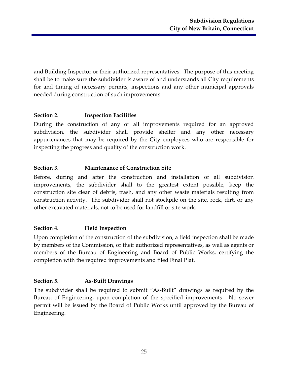and Building Inspector or their authorized representatives. The purpose of this meeting shall be to make sure the subdivider is aware of and understands all City requirements for and timing of necessary permits, inspections and any other municipal approvals needed during construction of such improvements.

#### <span id="page-26-0"></span>**Section 2. Inspection Facilities**

During the construction of any or all improvements required for an approved subdivision, the subdivider shall provide shelter and any other necessary appurtenances that may be required by the City employees who are responsible for inspecting the progress and quality of the construction work.

#### <span id="page-26-1"></span>**Section 3. Maintenance of Construction Site**

Before, during and after the construction and installation of all subdivision improvements, the subdivider shall to the greatest extent possible, keep the construction site clear of debris, trash, and any other waste materials resulting from construction activity. The subdivider shall not stockpile on the site, rock, dirt, or any other excavated materials, not to be used for landfill or site work.

# <span id="page-26-2"></span>**Section 4. Field Inspection**

Upon completion of the construction of the subdivision, a field inspection shall be made by members of the Commission, or their authorized representatives, as well as agents or members of the Bureau of Engineering and Board of Public Works, certifying the completion with the required improvements and filed Final Plat.

#### <span id="page-26-3"></span>**Section 5. As-Built Drawings**

The subdivider shall be required to submit "As-Built" drawings as required by the Bureau of Engineering, upon completion of the specified improvements. No sewer permit will be issued by the Board of Public Works until approved by the Bureau of Engineering.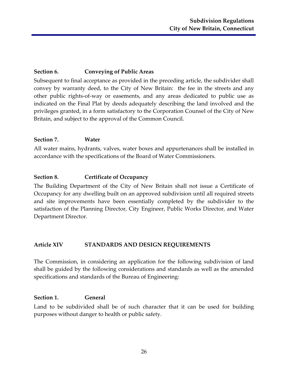# <span id="page-27-0"></span>**Section 6. Conveying of Public Areas**

Subsequent to final acceptance as provided in the preceding article, the subdivider shall convey by warranty deed, to the City of New Britain: the fee in the streets and any other public rights-of-way or easements, and any areas dedicated to public use as indicated on the Final Plat by deeds adequately describing the land involved and the privileges granted, in a form satisfactory to the Corporation Counsel of the City of New Britain, and subject to the approval of the Common Council.

#### <span id="page-27-1"></span>**Section 7. Water**

All water mains, hydrants, valves, water boxes and appurtenances shall be installed in accordance with the specifications of the Board of Water Commissioners.

#### <span id="page-27-2"></span>**Section 8. Certificate of Occupancy**

The Building Department of the City of New Britain shall not issue a Certificate of Occupancy for any dwelling built on an approved subdivision until all required streets and site improvements have been essentially completed by the subdivider to the satisfaction of the Planning Director, City Engineer, Public Works Director, and Water Department Director.

#### <span id="page-27-3"></span>**Article XIV STANDARDS AND DESIGN REQUIREMENTS**

The Commission, in considering an application for the following subdivision of land shall be guided by the following considerations and standards as well as the amended specifications and standards of the Bureau of Engineering:

#### <span id="page-27-4"></span>**Section 1. General**

Land to be subdivided shall be of such character that it can be used for building purposes without danger to health or public safety.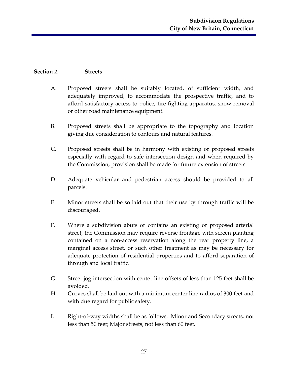#### <span id="page-28-0"></span>**Section 2. Streets**

- A. Proposed streets shall be suitably located, of sufficient width, and adequately improved, to accommodate the prospective traffic, and to afford satisfactory access to police, fire-fighting apparatus, snow removal or other road maintenance equipment.
- B. Proposed streets shall be appropriate to the topography and location giving due consideration to contours and natural features.
- C. Proposed streets shall be in harmony with existing or proposed streets especially with regard to safe intersection design and when required by the Commission, provision shall be made for future extension of streets.
- D. Adequate vehicular and pedestrian access should be provided to all parcels.
- E. Minor streets shall be so laid out that their use by through traffic will be discouraged.
- F. Where a subdivision abuts or contains an existing or proposed arterial street, the Commission may require reverse frontage with screen planting contained on a non-access reservation along the rear property line, a marginal access street, or such other treatment as may be necessary for adequate protection of residential properties and to afford separation of through and local traffic.
- G. Street jog intersection with center line offsets of less than 125 feet shall be avoided.
- H. Curves shall be laid out with a minimum center line radius of 300 feet and with due regard for public safety.
- I. Right-of-way widths shall be as follows: Minor and Secondary streets, not less than 50 feet; Major streets, not less than 60 feet.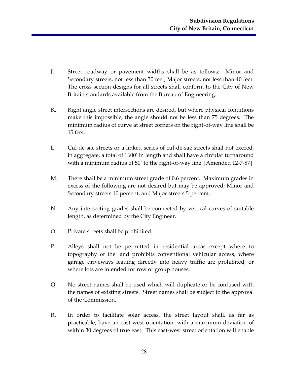- J. Street roadway or pavement widths shall be as follows: Minor and Secondary streets, not less than 30 feet; Major streets, not less than 40 feet. The cross section designs for all streets shall conform to the City of New Britain standards available from the Bureau of Engineering.
- K. Right angle street intersections are desired, but where physical conditions make this impossible, the angle should not be less than 75 degrees. The minimum radius of curve at street corners on the right-of-way line shall be 15 feet.
- L. Cul-de-sac streets or a linked series of cul-de-sac streets shall not exceed, in aggregate, a total of 1600' in length and shall have a circular turnaround with a minimum radius of 50' to the right-of-way line. [Amended 12-7-87]
- M. There shall be a minimum street grade of 0.6 percent. Maximum grades in excess of the following are not desired but may be approved; Minor and Secondary streets 10 percent, and Major streets 5 percent.
- N. Any intersecting grades shall be connected by vertical curves of suitable length, as determined by the City Engineer.
- O. Private streets shall be prohibited.
- P. Alleys shall not be permitted in residential areas except where to topography of the land prohibits conventional vehicular access, where garage driveways leading directly into heavy traffic are prohibited, or where lots are intended for row or group houses.
- Q. No street names shall be used which will duplicate or be confused with the names of existing streets. Street names shall be subject to the approval of the Commission.
- R. In order to facilitate solar access, the street layout shall, as far as practicable, have an east-west orientation, with a maximum deviation of within 30 degrees of true east. This east-west street orientation will enable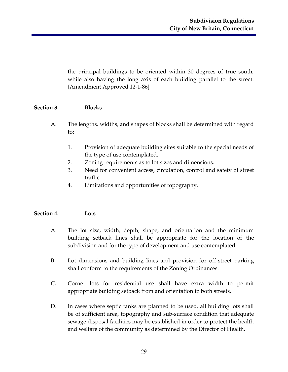the principal buildings to be oriented within 30 degrees of true south, while also having the long axis of each building parallel to the street. {Amendment Approved 12-1-86]

#### <span id="page-30-0"></span>**Section 3. Blocks**

- A. The lengths, widths, and shapes of blocks shall be determined with regard to:
	- 1. Provision of adequate building sites suitable to the special needs of the type of use contemplated.
	- 2. Zoning requirements as to lot sizes and dimensions.
	- 3. Need for convenient access, circulation, control and safety of street traffic.
	- 4. Limitations and opportunities of topography.

#### <span id="page-30-1"></span>**Section 4. Lots**

- A. The lot size, width, depth, shape, and orientation and the minimum building setback lines shall be appropriate for the location of the subdivision and for the type of development and use contemplated.
- B. Lot dimensions and building lines and provision for off-street parking shall conform to the requirements of the Zoning Ordinances.
- C. Corner lots for residential use shall have extra width to permit appropriate building setback from and orientation to both streets.
- D. In cases where septic tanks are planned to be used, all building lots shall be of sufficient area, topography and sub-surface condition that adequate sewage disposal facilities may be established in order to protect the health and welfare of the community as determined by the Director of Health.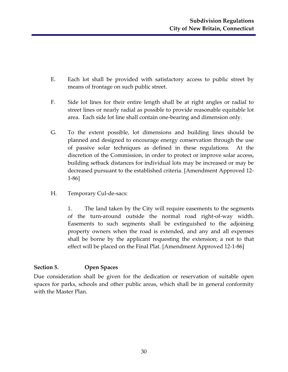- E. Each lot shall be provided with satisfactory access to public street by means of frontage on such public street.
- F. Side lot lines for their entire length shall be at right angles or radial to street lines or nearly radial as possible to provide reasonable equitable lot area. Each side lot line shall contain one-bearing and dimension only.
- G. To the extent possible, lot dimensions and building lines should be planned and designed to encourage energy conservation through the use of passive solar techniques as defined in these regulations. At the discretion of the Commission, in order to protect or improve solar access, building setback distances for individual lots may be increased or may be decreased pursuant to the established criteria. [Amendment Approved 12- 1-86]
- H. Temporary Cul-de-sacs:

1. The land taken by the City will require easements to the segments of the turn-around outside the normal road right-of-way width. Easements to such segments shall be extinguished to the adjoining property owners when the road is extended, and any and all expenses shall be borne by the applicant requesting the extension; a not to that effect will be placed on the Final Plat. [Amendment Approved 12-1-86]

# <span id="page-31-0"></span>**Section 5. Open Spaces**

Due consideration shall be given for the dedication or reservation of suitable open spaces for parks, schools and other public areas, which shall be in general conformity with the Master Plan.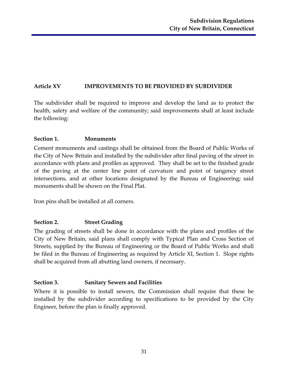# <span id="page-32-0"></span>**Article XV IMPROVEMENTS TO BE PROVIDED BY SUBDIVIDER**

The subdivider shall be required to improve and develop the land as to protect the health, safety and welfare of the community; said improvements shall at least include the following:

#### <span id="page-32-1"></span>**Section 1. Monuments**

Cement monuments and castings shall be obtained from the Board of Public Works of the City of New Britain and installed by the subdivider after final paving of the street in accordance with plans and profiles as approved. They shall be set to the finished grade of the paving at the center line point of curvature and point of tangency street intersections, and at other locations designated by the Bureau of Engineering; said monuments shall be shown on the Final Plat.

Iron pins shall be installed at all corners.

# <span id="page-32-2"></span>**Section 2. Street Grading**

The grading of streets shall be done in accordance with the plans and profiles of the City of New Britain, said plans shall comply with Typical Plan and Cross Section of Streets, supplied by the Bureau of Engineering or the Board of Public Works and shall be filed in the Bureau of Engineering as required by Article XI, Section 1. Slope rights shall be acquired from all abutting land owners, if necessary.

# <span id="page-32-3"></span>**Section 3. Sanitary Sewers and Facilities**

Where it is possible to install sewers, the Commission shall require that these be installed by the subdivider according to specifications to be provided by the City Engineer, before the plan is finally approved.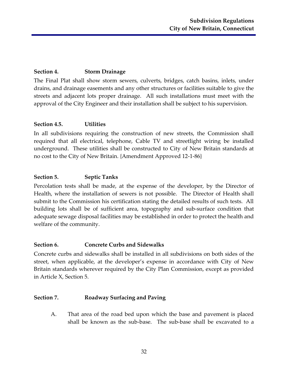#### <span id="page-33-0"></span>**Section 4. Storm Drainage**

The Final Plat shall show storm sewers, culverts, bridges, catch basins, inlets, under drains, and drainage easements and any other structures or facilities suitable to give the streets and adjacent lots proper drainage. All such installations must meet with the approval of the City Engineer and their installation shall be subject to his supervision.

#### <span id="page-33-1"></span>**Section 4.5. Utilities**

In all subdivisions requiring the construction of new streets, the Commission shall required that all electrical, telephone, Cable TV and streetlight wiring be installed underground. These utilities shall be constructed to City of New Britain standards at no cost to the City of New Britain. {Amendment Approved 12-1-86}

#### <span id="page-33-2"></span>**Section 5. Septic Tanks**

Percolation tests shall be made, at the expense of the developer, by the Director of Health, where the installation of sewers is not possible. The Director of Health shall submit to the Commission his certification stating the detailed results of such tests. All building lots shall be of sufficient area, topography and sub-surface condition that adequate sewage disposal facilities may be established in order to protect the health and welfare of the community.

#### <span id="page-33-3"></span>**Section 6. Concrete Curbs and Sidewalks**

Concrete curbs and sidewalks shall be installed in all subdivisions on both sides of the street, when applicable, at the developer's expense in accordance with City of New Britain standards wherever required by the City Plan Commission, except as provided in Article X, Section 5.

#### <span id="page-33-4"></span>**Section 7. Roadway Surfacing and Paving**

A. That area of the road bed upon which the base and pavement is placed shall be known as the sub-base. The sub-base shall be excavated to a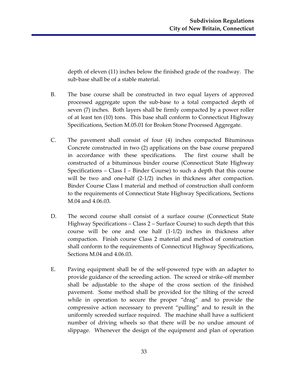depth of eleven (11) inches below the finished grade of the roadway. The sub-base shall be of a stable material.

- B. The base course shall be constructed in two equal layers of approved processed aggregate upon the sub-base to a total compacted depth of seven (7) inches. Both layers shall be firmly compacted by a power roller of at least ten (10) tons. This base shall conform to Connecticut Highway Specifications, Section M.05.01 for Broken Stone Processed Aggregate.
- C. The pavement shall consist of four (4) inches compacted Bituminous Concrete constructed in two (2) applications on the base course prepared in accordance with these specifications. The first course shall be constructed of a bituminous binder course (Connecticut State Highway Specifications – Class I – Binder Course) to such a depth that this course will be two and one-half (2-1/2) inches in thickness after compaction. Binder Course Class I material and method of construction shall conform to the requirements of Connecticut State Highway Specifications, Sections M.04 and 4.06.03.
- D. The second course shall consist of a surface course (Connecticut State Highway Specifications – Class 2 – Surface Course) to such depth that this course will be one and one half (1-1/2) inches in thickness after compaction. Finish course Class 2 material and method of construction shall conform to the requirements of Connecticut Highway Specifications, Sections M.04 and 4.06.03.
- E. Paving equipment shall be of the self-powered type with an adapter to provide guidance of the screeding action. The screed or strike-off member shall be adjustable to the shape of the cross section of the finished pavement. Some method shall be provided for the tilting of the screed while in operation to secure the proper "drag" and to provide the compressive action necessary to prevent "pulling" and to result in the uniformly screeded surface required. The machine shall have a sufficient number of driving wheels so that there will be no undue amount of slippage. Whenever the design of the equipment and plan of operation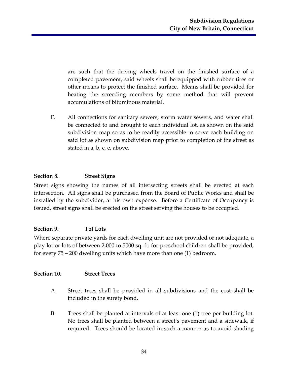are such that the driving wheels travel on the finished surface of a completed pavement, said wheels shall be equipped with rubber tires or other means to protect the finished surface. Means shall be provided for heating the screeding members by some method that will prevent accumulations of bituminous material.

F. All connections for sanitary sewers, storm water sewers, and water shall be connected to and brought to each individual lot, as shown on the said subdivision map so as to be readily accessible to serve each building on said lot as shown on subdivision map prior to completion of the street as stated in a, b, c, e, above.

#### <span id="page-35-0"></span>**Section 8. Street Signs**

Street signs showing the names of all intersecting streets shall be erected at each intersection. All signs shall be purchased from the Board of Public Works and shall be installed by the subdivider, at his own expense. Before a Certificate of Occupancy is issued, street signs shall be erected on the street serving the houses to be occupied.

#### <span id="page-35-1"></span>**Section 9. Tot Lots**

Where separate private yards for each dwelling unit are not provided or not adequate, a play lot or lots of between 2,000 to 5000 sq. ft. for preschool children shall be provided, for every 75 – 200 dwelling units which have more than one (1) bedroom.

#### <span id="page-35-2"></span>**Section 10. Street Trees**

- A. Street trees shall be provided in all subdivisions and the cost shall be included in the surety bond.
- B. Trees shall be planted at intervals of at least one (1) tree per building lot. No trees shall be planted between a street's pavement and a sidewalk, if required. Trees should be located in such a manner as to avoid shading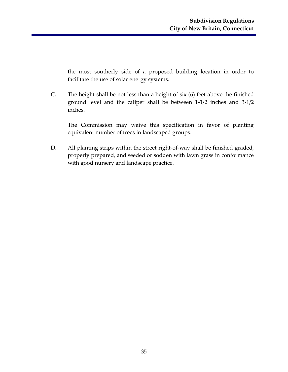the most southerly side of a proposed building location in order to facilitate the use of solar energy systems.

C. The height shall be not less than a height of six (6) feet above the finished ground level and the caliper shall be between 1-1/2 inches and 3-1/2 inches.

The Commission may waive this specification in favor of planting equivalent number of trees in landscaped groups.

D. All planting strips within the street right-of-way shall be finished graded, properly prepared, and seeded or sodden with lawn grass in conformance with good nursery and landscape practice.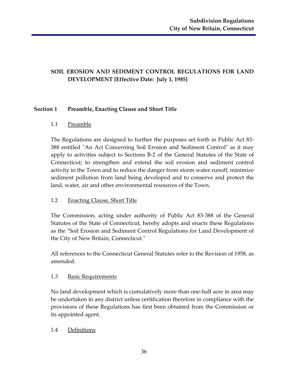# <span id="page-37-0"></span>**SOIL EROSION AND SEDIMENT CONTROL REGULATIONS FOR LAND DEVELOPMENT [Effective Date: July 1, 1985]**

#### **Section 1 Preamble, Enacting Clause and Short Title**

#### 1.1 Preamble

The Regulations are designed to further the purposes set forth in Public Act 83- 388 entitled "An Act Concerning Soil Erosion and Sediment Control" as it may apply to activities subject to Sections B-2 of the General Statutes of the State of Connecticut; to strengthen and extend the soil erosion and sediment control activity in the Town and to reduce the danger from storm water runoff, minimize sediment pollution from land being developed and to conserve and protect the land, water, air and other environmental resources of the Town.

# 1.2 Enacting Clause, Short Title

The Commission, acting under authority of Public Act 83-388 of the General Statutes of the State of Connecticut, hereby adopts and enacts these Regulations as the "Soil Erosion and Sediment Control Regulations for Land Development of the City of New Britain, Connecticut."

All references to the Connecticut General Statutes refer to the Revision of 1958, as amended.

#### 1.3 Basic Requirements

No land development which is cumulatively more than one-half acre in area may be undertaken in any district unless certification therefore in compliance with the provisions of these Regulations has first been obtained from the Commission or its appointed agent.

#### 1.4 Definitions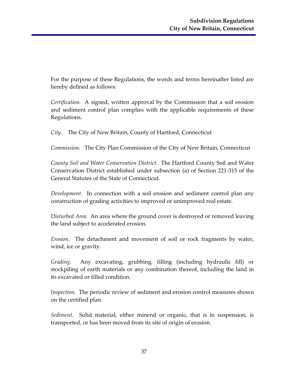For the purpose of these Regulations, the words and terms hereinafter listed are hereby defined as follows:

*Certification.* A signed, written approval by the Commission that a soil erosion and sediment control plan complies with the applicable requirements of these Regulations.

*City.* The City of New Britain, County of Hartford, Connecticut

*Commission.* The City Plan Commission of the City of New Britain, Connecticut

*County Soil and Water Conservation District.* The Hartford County Soil and Water Conservation District established under subsection (a) of Section 221-315 of the General Statutes of the State of Connecticut.

*Development.* In connection with a soil erosion and sediment control plan any construction of grading activities to improved or unimproved real estate.

*Disturbed Area.* An area where the ground cover is destroyed or removed leaving the land subject to accelerated erosion.

*Erosion.* The detachment and movement of soil or rock fragments by water, wind, ice or gravity.

*Grading*. Any excavating, grubbing, filling (including hydraulic fill) or stockpiling of earth materials or any combination thereof, including the land in its excavated or filled condition.

*Inspection.* The periodic review of sediment and erosion control measures shown on the certified plan.

*Sediment.* Solid material, either mineral or organic, that is in suspension, is transported, or has been moved from its site of origin of erosion.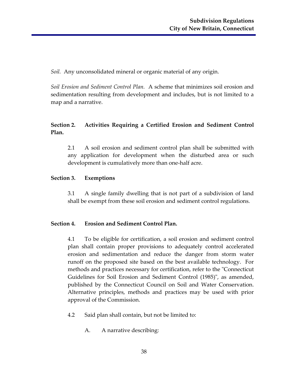*Soil.* Any unconsolidated mineral or organic material of any origin.

*Soil Erosion and Sediment Control Plan.* A scheme that minimizes soil erosion and sedimentation resulting from development and includes, but is not limited to a map and a narrative.

# **Section 2. Activities Requiring a Certified Erosion and Sediment Control Plan.**

2.1 A soil erosion and sediment control plan shall be submitted with any application for development when the disturbed area or such development is cumulatively more than one-half acre.

#### **Section 3. Exemptions**

3.1 A single family dwelling that is not part of a subdivision of land shall be exempt from these soil erosion and sediment control regulations.

# **Section 4. Erosion and Sediment Control Plan.**

4.1 To be eligible for certification, a soil erosion and sediment control plan shall contain proper provisions to adequately control accelerated erosion and sedimentation and reduce the danger from storm water runoff on the proposed site based on the best available technology. For methods and practices necessary for certification, refer to the "Connecticut Guidelines for Soil Erosion and Sediment Control (1985)", as amended, published by the Connecticut Council on Soil and Water Conservation. Alternative principles, methods and practices may be used with prior approval of the Commission.

- 4.2 Said plan shall contain, but not be limited to:
	- A. A narrative describing: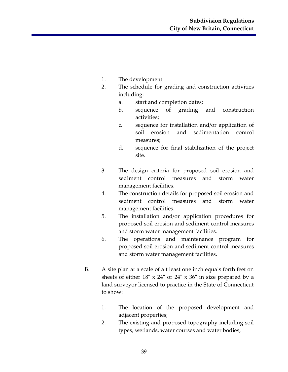- 1. The development.
- 2. The schedule for grading and construction activities including:
	- a. start and completion dates;
	- b. sequence of grading and construction activities;
	- c. sequence for installation and/or application of soil erosion and sedimentation control measures;
	- d. sequence for final stabilization of the project site.
- 3. The design criteria for proposed soil erosion and sediment control measures and storm water management facilities.
- 4. The construction details for proposed soil erosion and sediment control measures and storm water management facilities.
- 5. The installation and/or application procedures for proposed soil erosion and sediment control measures and storm water management facilities.
- 6. The operations and maintenance program for proposed soil erosion and sediment control measures and storm water management facilities.
- B. A site plan at a scale of a t least one inch equals forth feet on sheets of either 18" x 24" or 24" x 36" in size prepared by a land surveyor licensed to practice in the State of Connecticut to show:
	- 1. The location of the proposed development and adjacent properties;
	- 2. The existing and proposed topography including soil types, wetlands, water courses and water bodies;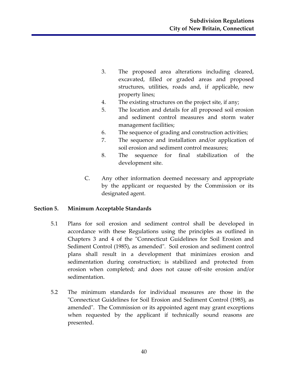- 3. The proposed area alterations including cleared, excavated, filled or graded areas and proposed structures, utilities, roads and, if applicable, new property lines;
- 4. The existing structures on the project site, if any;
- 5. The location and details for all proposed soil erosion and sediment control measures and storm water management facilities;
- 6. The sequence of grading and construction activities;
- 7. The sequence and installation and/or application of soil erosion and sediment control measures;
- 8. The sequence for final stabilization of the development site.
- C. Any other information deemed necessary and appropriate by the applicant or requested by the Commission or its designated agent.

#### **Section 5. Minimum Acceptable Standards**

- 5.1 Plans for soil erosion and sediment control shall be developed in accordance with these Regulations using the principles as outlined in Chapters 3 and 4 of the "Connecticut Guidelines for Soil Erosion and Sediment Control (1985), as amended". Soil erosion and sediment control plans shall result in a development that minimizes erosion and sedimentation during construction; is stabilized and protected from erosion when completed; and does not cause off-site erosion and/or sedimentation.
- 5.2 The minimum standards for individual measures are those in the "Connecticut Guidelines for Soil Erosion and Sediment Control (1985), as amended". The Commission or its appointed agent may grant exceptions when requested by the applicant if technically sound reasons are presented.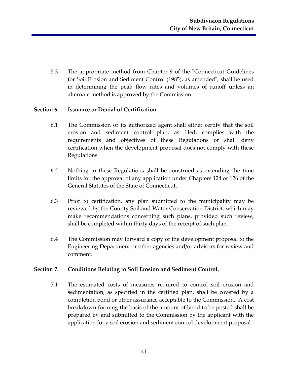5.3 The appropriate method from Chapter 9 of the "Connecticut Guidelines for Soil Erosion and Sediment Control (1985), as amended", shall be used in determining the peak flow rates and volumes of runoff unless an alternate method is approved by the Commission.

#### **Section 6. Issuance or Denial of Certification.**

- 6.1 The Commission or its authorized agent shall either certify that the soil erosion and sediment control plan, as filed, complies with the requirements and objectives of these Regulations or shall deny certification when the development proposal does not comply with these Regulations.
- 6.2 Nothing in these Regulations shall be construed as extending the time limits for the approval of any application under Chapters 124 or 126 of the General Statutes of the State of Connecticut.
- 6.3 Prior to certification, any plan submitted to the municipality may be reviewed by the County Soil and Water Conservation District, which may make recommendations concerning such plans, provided such review, shall be completed within thirty days of the receipt of such plan.
- 6.4 The Commission may forward a copy of the development proposal to the Engineering Department or other agencies and/or advisors for review and comment.

#### **Section 7. Conditions Relating to Soil Erosion and Sediment Control.**

7.1 The estimated costs of measures required to control soil erosion and sedimentation, as specified in the certified plan, shall be covered by a completion bond or other assurance acceptable to the Commission. A cost breakdown forming the basis of the amount of bond to be posted shall be prepared by and submitted to the Commission by the applicant with the application for a soil erosion and sediment control development proposal.